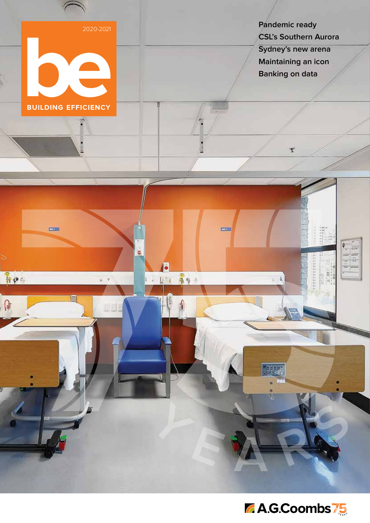